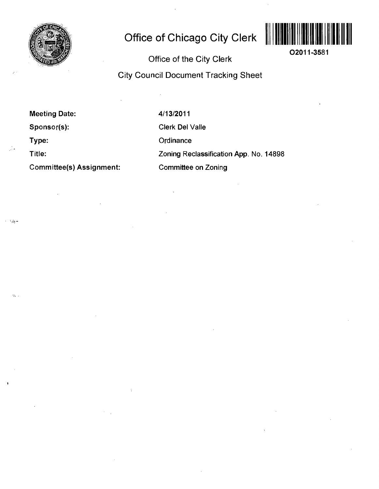

# **Office of Chicago City Clerk**



**02011-3581** 

Office of the City Clerk

City Council Document Tracking Sheet

Meeting Date: Sponsor(s): Type: Title:

و چې د

 $\gamma_{\rm 2}$  .

Committee(s) Assignment:

4/13/2011 Clerk Del Valle **Ordinance** Zoning Reclassification App. No. 14898 Committee on Zoning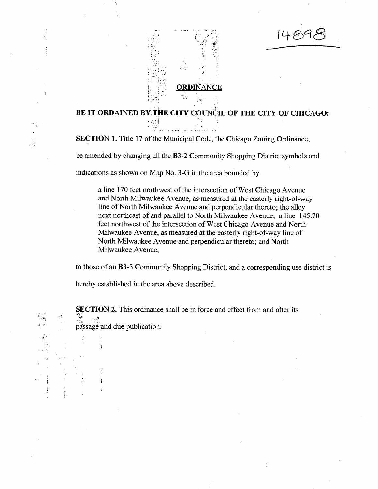# **ORDINANCE**

îπ

# **BE IT ORDAINED BY THE CITY COUNCIL OF THE CITY OF CHICAGO:**

SECTION 1. Title 17 of the Municipal Code, the Chicago Zoning Ordinance,

be amended by changing all the **B**3-2 Community Shopping District symbols and

indications as shown on Map No. 3-G in the area bounded by

a line 170 feet northwest of the intersection of West Chicago Avenue and North Milwaukee Avenue, as measured at the easterly right-of-way line of North Milwaukee Avenue and perpendicular thereto; the alley next northeast of and parallel to North Milwaukee Avenue; aline 145.70 feet northwest of the intersection of West Chicago Avenue and North Milwaukee Avenue, as measured at the easterly right-of-way line of North Milwaukee Avenue and perpendicular thereto; and North Milwaukee Avenue,

to those of an B3-3 Community Shopping District, and a corresponding use district is

hereby established in the area above described.

套

SECTION 2. This ordinance shall be in force and effect from and after its -HI'. passage and due publication.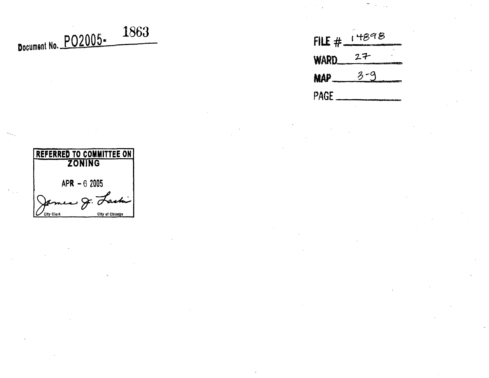# **Document No. PO2005: <sup>1863</sup>**

| <b>REFERRED TO COMMITTEE ON</b><br><b>ZONING</b> |                 |
|--------------------------------------------------|-----------------|
| $APR - 62005$                                    |                 |
| $-9.7$                                           |                 |
| City Clork                                       | City of Chicago |

 $FILE # 14898$  $27$ WARD.  $3 - 9$  $MAP$ **PAGE**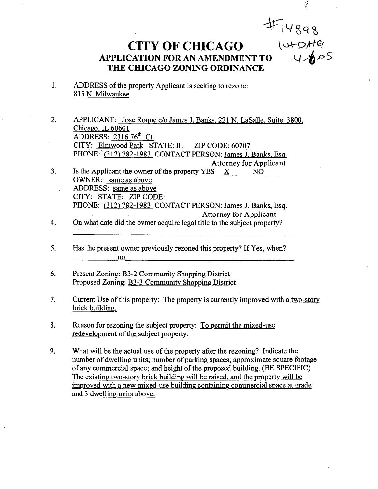**CITY OF CHICAGO** 

# **APPLICATION FOR AN AMENDMENT TO** 4-005 **THE CHICAGO ZONING ORDINANCE**

- $1.$ ADDRESS of the property Applicant is seeking to rezone: 815 N. Milwaukee
- 2. APPLICANT: Jose Rogue c/o James J. Banks. 221 N. LaSalle. Suite 3800. Chicago. IL 60601 ADDRESS:  $231676^{\text{th}}$  Ct. CITY: Elmwood Park STATE: IL ZIP CODE: 60707 PHONE: (312) 782-1983 CONTACT PERSON: James J. Banks, Esq. **Attorney for Applicant**  3. Is the Applicant the owner of the property YES X NO
- OWNER: same as above ADDRESS: same as above CITY: STATE: ZIPCODE: PHONE: (312) 782-1983 CONTACT PERSON: James J. Banks, Esq. **Attorney for Applicant**
- 4. On what date did the ovmer acquire legal title to the subject property?
- 5. Has the present owner previously rezoned this property? If Yes, when? no
- 6. Present Zoning: B3-2 Community Shopping District Proposed Zoning: B3-3 Community Shopping District
- 7. Current Use of this property: The property is currently improved with a two-story brick building.
- 8. Reason for rezoning the subject property: To permit the mixed-use redevelopment of the subject property.
- 9. What will be the actual use of the property after the rezoning? Indicate the number of dwelling units; number of parking spaces; approximate square footage of any commercial space; and height of the proposed building. (BE SPECIFIC) The existing two-story brick building will be raised, and the property will be improved with a new mixed-use building containing conunercial space at grade and 3 dwelling units above.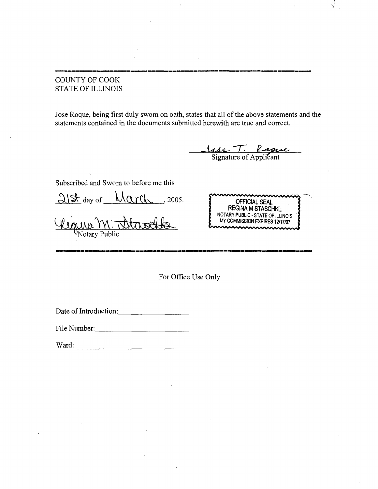# COUNTY OF COOK STATE OF ILLINOIS

Jose Roque, being first duly swom on oath, states that all of the above statements and the statements contained in the documents submitted herewith are true and correct.

<u>Sase T. Logue</u>

 $\mathcal{L}$ 

Subscribed and Swom to before me this

 $\frac{\Delta}{\del x}$  day of  $\frac{\mathrm{Mart}_{\mathrm{w}}}{\mathrm{Mart}}$ , 2005.

 $\Delta$ otary Public



For Office Use Only

Date of Introduction:

File Number:

Ward: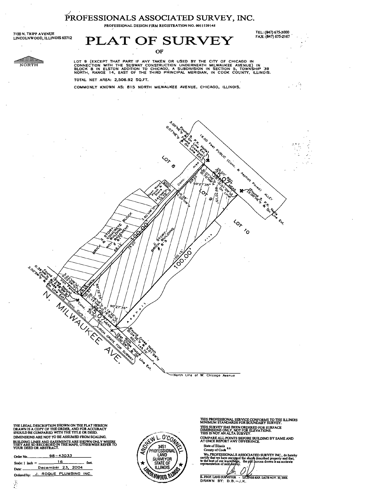# **PROFESSIONALS ASSOCIATED SURVEY, INC.**

PROFESSIONAL DESIGN FIRM REGISTRATION NO. 0011129145

7100 N. TRIPP AVENUE LINCOLNWOOD, ILLINOIS 60712

# **PLAT OF SURVEY** OF

TEL: (847) 675-3000 FAX: (847) 675-2167

 $\sim 10$ 

<u>alline </u>  $\overline{\text{NOFTH}}$ 

LOT 9 (EXCEPT THAT PART IF ANY TAKEN OR USED BY THE CITY OF CHICAGO IN<br>CONNECTION WITH THE SUBWAY CONSTRUCTION UNDERNEATH MILWAUKEE AVENUE) IN<br>BLOCK 8 IN ELSTON ADDITION TO CHICAGO, A SUBDIVISION IN SECTION 5, TOWNSHIP 39<br>

**LOCK** O.O.NE.A

**ANSIST** 

 $40<sub>2</sub>$ 

**CONSTRUCTION AND RELATIONS** 

 $40<sub>o</sub>$ 

 $\mathcal{L}_{\mathcal{O}}$ 

**HARCOCCO AND READWAY** 

**ALLS** 

 $0, 4$ ؉

 $\epsilon_{\rm b}$ 

TOTAL NET AREA: 2,506.92 SQ.FT.

COMMONLY KNOWN AS: 815 NORTH MILWAUKEE AVENUE, CHICAGO, ILLINOIS.

North Line of W. Chicogo Avenue

THE LEGAL DESCRIPTION SHOWN ON THE PLAT HEREON DRAWN IS A COPY OF THE ORDER, AND FOR ACCURACY SHOULD BE COMPARED WTTH THE TITLE OR DEED, DIMENSIONS ARE NOT TO BE ASSUMED FROM SCALING. BUILDING LINES AND EASEMENTS ARE SHOWN ONLY WHERE<br>THEY ARE SO RECORDED IN THE MAPS, OTHERWISE REFER TO<br>YOUR DEED OR ABSTRACT.

**ANY AREA CENTER** 

| Order No. 98-43033                 |  |  |
|------------------------------------|--|--|
| Scale: $1$ inch = $16$ feet.       |  |  |
| Date: December 23, 2004            |  |  |
| Ordered by: J. ROQUE PLUMBING INC. |  |  |
|                                    |  |  |

Ĵ.



 $\ddot{\phantom{0}}$  $\ddot{\phantom{0}}$ 

 $c^{\dagger}_{\mu}$ 

THIS PROFESSIONAL SERVICE CONFORMS TO THE ILLINOIS MINIMUM STANDARDS FOR BOUNDARY SURVEY. THIS SURVEY HAS BEEN ORDERED FOR SURFACE DIMENSIONS ONLY. NOT FOR ELEVATIONS. THIS IS NOT AN ALTA SURVEY.

COMPARE ALL POINTS BEFORE BUILDING BY SAME AND AT ONCE REPORT ANY DIFFERENCE.

State of Ilinois<br>County of Cook<sup>8.8.</sup>

We, PROFESSIONALS ASSOCIATED SURVEY INC., do hereby that we have smygred the above described property and that, to the best of our lowyledge, the plat hcrcan drawn is an acctirate representation of said empty.

IL. PROF. LAND DRAWN BY: D.B iSB EXP. DATE NOV. 30,2006.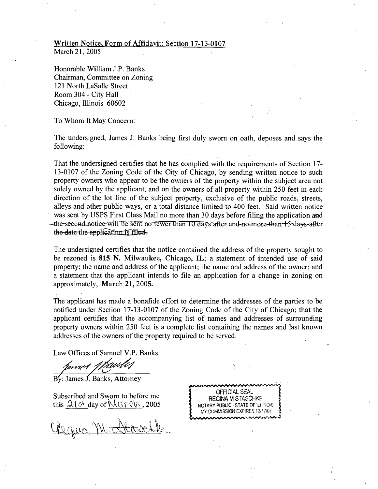#### **Written Notice. Form of Affidavit: Section 17-13-0107**  March 21, 2005

Honorable William J.P. Banks Chairman, Committee on Zoning 121 North LaSalle Street Room 304 - City Hall Chicago, Illinois 60602

To Whom It May Concern:

The undersigned, James J. Banks being first duly sworn on oath, deposes and says the following:

That the undersigned certifies that he has complied with the requirements of Section 17- 13-0107 of the Zoning Code of the City of Chicago, by sending written notice to such property owners who appear to be the owners of the property within the subject area not solely owned by the applicant, and on the owners of all property within 250 feet in each direction of the lot line of the subject property, exclusive of the public roads, streets, alleys and other public ways, or a total distance limited to 400 feet. Said written notice was sent by USPS First Class Mail no more than 30 days before filing the application and —the-seeend notiee-will be sent no fewer than 10 days-after and no more-than-15-days-after the date the application is filed-

**The undersigned certifies that the notice contained the address of the property sought to be rezoned is 815 N. Milwaukee, Chicago, IL; a statement of intended use of said property; the name and address of the applicant; the name and address of the owner; and a statement that the applicant intends to file an application for a change in zoning on approximately, March 21, 2005.** 

The applicant has made a bonafide effort to determine the addresses of the parties to be notified under Section 17-13-0107 of the Zoning Code of the City of Chicago; that the applicant certifies that the accompanying list of names and addresses of surrounding property owners within 250 feet is a complete list containing the names and last known addresses of the owners of the property required to be served.

Law Offices of Samuel V.P. Banks

By: James J. Banks, Attomey

Subscribed and Sworn to before me this  $21$  st day of  $\mathcal{N}(\mathcal{U})$   $\mathcal{U}$ , 2005

Cleane Mr

OFFICIAL SEAL **REGINA M STASCHKE** NOTARY PUBLIC - STATE OF ILLINOIS MY COMMISSION EXPIRES:12/17/07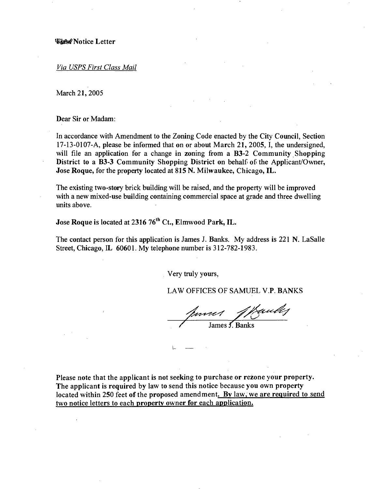Via USPS First Class Mail

March 21, 2005

Dear Sir or Madam:

**In accordance with Amendment to the Zoning Code enacted by the City Council, Section 17-13-0107-A, please be informed that on or about March 21, 2005, I, the undersigned, will file an application for a change in zoning from a B3-2 Community Shopping District to a B3-3 Community Shopping District on behalf of the Applicant/Owner, Jose Roque, for the property located at 815 N. Milwaukee, Chicago, IL.** 

The existing two-story brick building will be raised, and the property will be improved with a new mixed-use building containing commercial space at grade and three dwelling units above.

Jose Roque is located at 2316 76<sup>th</sup> Ct., Elmwood Park, IL.

The contact person for this application is James J. Banks. My address is 221 N. LaSalle Street, Chicago, IL 60601. My telephone number is 312-782-1983.

Very truly yours,

LAW OFFICES OF SAMUEL V.P. BANKS

James J. Banks

**Please note that the applicant is not seeking to purchase or rezone your property. The applicant is required by law to send this notice because you own property located within 250 feet of the proposed amendment. By law, we are required to send two notice letters to each property owner for each application.**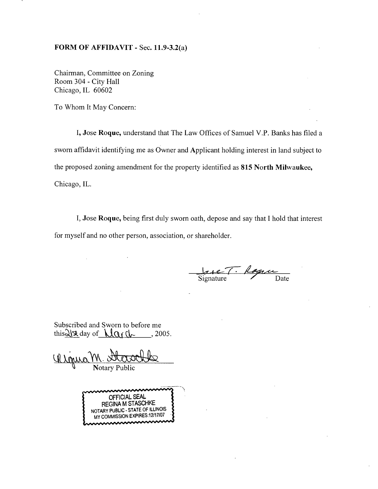#### **FORM OF AFFIDAVIT - Sec. 11.9-3.2(a)**

Chairman, Committee on Zoning Room 304 - City Hall Chicago, IL 60602

To Whom It May Concern:

I, Jose Roque, understand that The Law Offices of Samuel V.P. Banks has filed a sworn affidavit identifying me as Owner and Applicant holding interest in land subject to the proposed zoning amendment for the property identified as 815 North Milwaukee, Chicago, IL.

I, Jose Roque, being first duly sworn oath, depose and say that I hold that interest for myself and no other person, association, or shareholder.

Jase T. Rognu

Subscribed and Sworn to before me this  $\frac{\partial (x)}{\partial x}$  day of  $\frac{\partial (x)}{\partial x}$  2005.

**W** Notary Public

OFFICIAL SEAL REGINA MSTASCHKE NOTARY PUBUC - STATE OF ILLINOIS MY COMMISSION EXPIRES: 12/17/07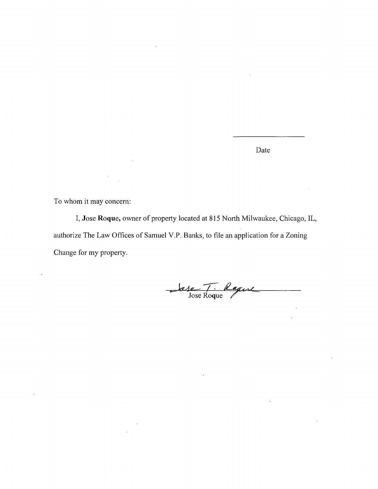Date

To whom it may concern:

I, Jose Roque, owner of property located at 815 North Milwaukee, Chicago, IL, authorize The Law Offices of Samuel V.P. Banks, to file an application for a Zoning Change for my property.

Jose T. Rague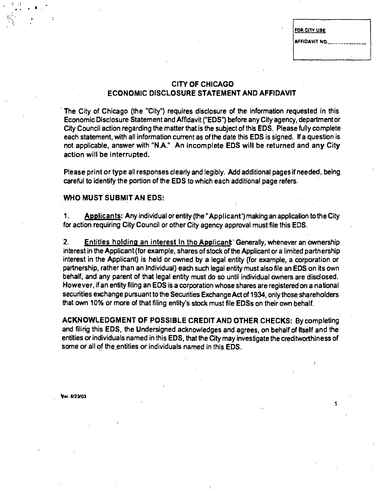**FOR CITY USE** 

**AFFIDAVIT NO.** 

# **CITY OF CHICAGO ECONOMIC DISCLOSURE STATEMENT AND AFFIDAVIT**

**The City of Chicago (the "City") requires disclosure of the information requested in this Economic Disclosure Statement and Affldavit ("EDS") before any City agency, departmentof City Council action regarding the matter that is the subject of this EDS. Please fully complete each statement, with all information current as of the date this EDS is signed. If a question is not applicable, answer with "N.A." An incomplete EDS will be returned and any City action will be interrupted.** 

**Please print or type all responses clearly and legibly. Add additional pages if needed, being careful to identify the portion of the EDS to which each additional page refers.** 

#### **WHO MUST SUBMIT AN EDS:**

**1. Applicants: Any individual or entity (the "Applicant') making an applicalion to the City for action requiring City Council or other City agency approval must file this EDS.** 

2. **Entitles holding an interest In tho Applicant** Generally, whenever an ownership **interest in the Applicant (for example, shares of stock of the Applicant or a limited partnership interest in the Applicant) is held or owned by a legal entity (for example, a corporation or**  partnership, rather than an Individual) each such legal entity must also file an EDS on its own **behalf, and any parent of that legal entity must do so until individual owners are disclosed. However, if an entity filing an EOS is a corporation whose shares are registered on a national securities exchange pursuant to the Securities Exchange Act of 1934, only those shareholders that own 10% or more of that filing entity's stock must file EDSs on their own behalf.** 

**ACKNOWLEDGMENT OF POSSIBLE CREDIT AND OTHER CHECKS: By completing and filing this EDS, the Undersigned acknowledges and agrees, on behalf of Itself and the entities or individuals named in this EDS, that the City may investigate the creditworthiness of some or all of the\_entities or individuals named in this EDS.** 

**Var. e/23/03** 

*< A*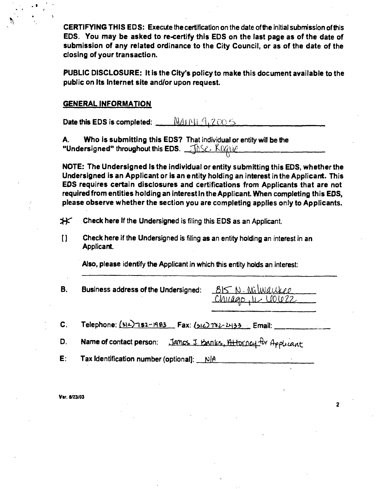**CERTIFYING THIS EDS: Execute the certification on the date of the initial submission ofthis**  EDS. You may be asked to re-certify this EDS on the last page as of the date of **submission of any related ordinance to the City Council, or as of the date of the closing of your transaction.** 

**PUBLIC DISCLOSURE: It is the City's policy to make this document available to the public on Its Internet site and/or upon request.** 

#### **GENERAL INFORMATION**

Date this EDS is completed:  $\frac{M_A y}{U}$ 

A. Who is submitting this EDS7 That individual or entity will be the "Undersigned" throughout this EDS.  $\Box$  in Sec. Keepie

**NOTE: The Undersigned Is the individual or entity submitting this EDS, whether the Undersigned is an Applicant or is an e ntity holding an interest in the Applicant. This EOS requires certain disclosures and certifications from Applicants that are not required from entities holding an interest In the Applicant. When completing this EOS. please observe whether the section you are completing applies only to Applicants.** 

 $*$  Check here If the Undersigned is filing this EDS as an Applicant.

[] Check here if the Undersigned is filing as an entity holding an interest in an Applicant.

Also, please identify the Applicant in which this entity holds an interest:

**B.** Business address of the Undersigned:  $\frac{B15}{M1400}$  *N*. Milwaukee

 $\overline{\mathbf{c}}$ 

C. Telephone:  $(312)$  7s2-1983 Fax:  $(312)$  7s2-2433 Email:

D. Name of contact person: James J. Banks, Attorney for Applicant

E: Tax Identification number (optional):  $N[A]$ 

Ver. 6/23/03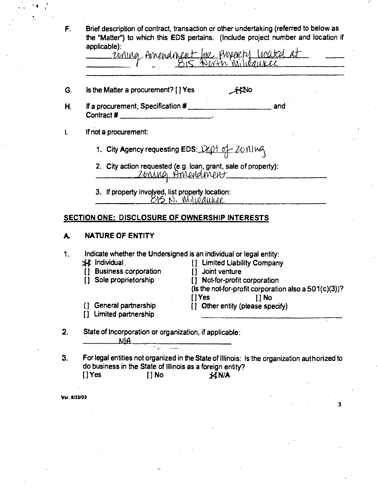|    | applicable):                                                                                                        |
|----|---------------------------------------------------------------------------------------------------------------------|
|    | ioning Amendment for property located at                                                                            |
| G. | Is the Matter a procurement? [ ] Yes<br>$H$ No                                                                      |
| Η. | If a procurement, Specification #<br>and<br>Contract # ____________________________                                 |
|    | If not a procurement:                                                                                               |
|    | 1. City Agency requesting EDS: Dept of Zoning                                                                       |
|    | 2. City action requested (e.g. loan, grant, sale of property):<br>Zoning Amendment                                  |
|    |                                                                                                                     |
|    | 3. If property involved, list property location:                                                                    |
|    | $815$ N. <i>Wilwaukee</i>                                                                                           |
|    | SECTION ONE: DISCLOSURE OF OWNERSHIP INTERESTS<br><b>NATURE OF ENTITY</b>                                           |
| A. |                                                                                                                     |
| 1. | Indicate whether the Undersigned is an individual or legal entity:                                                  |
|    | XX Individual<br>[] Limited Liability Company<br><b>Business corporation</b><br>[] Joint venture                    |
|    | Sole proprietorship<br>[] Not-for-profit corporation<br>(Is the not-for-profit corporation also a 501(c)(3))?       |
|    | <b>TYes</b><br>$[ ]$ No<br>General partnership<br>Other entity (please specify)<br>( }<br>Limited partnership<br>[] |

**do business in the State of Illinois as a foreign entity? [JYes [JNo j^NlA** 

**Vir. fi/23/03** 

 $\hat{\mathcal{L}}$ 

 $\overline{\mathbf{3}}$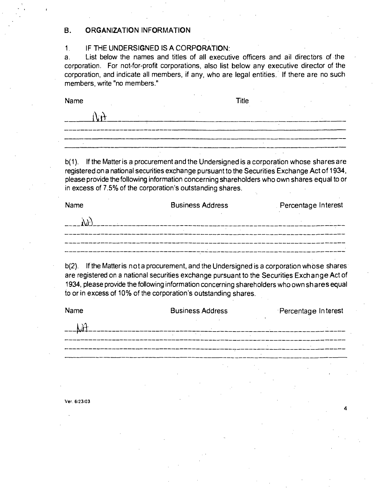#### **B. ORGANIZATION INFORMATION**

#### 1, IF THE UNDERSIGNED IS A CORPORATION:

a. List below the names and titles of all executive officers and ail directors of the corporation. For not-for-profit corporations, also list below any executive director of the corporation, and indicate all members, if any, who are legal entities. If there are no such members, write "no members."

Name Title

| ' A.A |  |  |
|-------|--|--|
|       |  |  |
|       |  |  |
|       |  |  |

b(1). If the Matter is a procurement and the Undersigned is a corporation whose shares are registered on a national securities exchange pursuant to the Securities Exchange Act of 1934, please provide the following information concerning shareholders who own shares equal to or in excess of 7.5% of the corporation's outstanding shares.

| Name | <b>Business Address</b> | Percentage Interest |
|------|-------------------------|---------------------|
|      |                         |                     |
|      |                         |                     |
|      |                         |                     |
|      |                         |                     |

b(2). If the Matter is not a procurement, and the Undersigned is a corporation whose shares are registered on a national securities exchange pursuant to the Securities Exchange Act of 1934, please provide the following information concerning shareholders who own shares equal to or in excess of 10% of the corporation's outstanding shares.

| Name         | <b>Business Address</b>   |                      | Percentage Interest |                  |
|--------------|---------------------------|----------------------|---------------------|------------------|
|              |                           |                      |                     |                  |
|              | $\mathcal{A}=\mathcal{A}$ |                      |                     |                  |
|              |                           |                      |                     |                  |
|              |                           |                      |                     |                  |
|              |                           |                      |                     |                  |
| Ver. 6/23/03 |                           |                      |                     | $\boldsymbol{4}$ |
|              |                           |                      |                     |                  |
|              |                           | $\ddot{\phantom{a}}$ |                     |                  |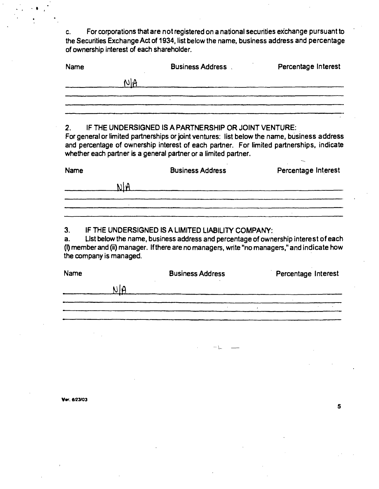**c. For corporations that are not registered on a national securities exchange pursuant to the Securities Exchange Act of 1934, list below the name, business address and percentage of ownership interest of each shareholder.** 

| Name |     | <b>Business Address</b> | Percentage Interest |
|------|-----|-------------------------|---------------------|
|      | NIA |                         |                     |
|      |     |                         |                     |
|      |     |                         |                     |
|      |     |                         |                     |

#### **2. IF THE UNDERSIGNED IS A PARTNERSHIP OR JOINT VENTURE:**

**For general or limited partnerships or joint ventures: list below the name, business address and percentage of ownership interest of each partner. For limited partnerships, indicate whether each partner is a general partner or a limited partner.** 

| Name | <b>Business Address</b> | Percentage Interest |
|------|-------------------------|---------------------|
|      |                         |                     |
|      |                         |                     |
|      |                         |                     |

#### **3. IF THE UNDERSIGNED IS A LIMITED LIABILITY COMPANY:**

**a. Ust below the name, business address and percentage of ownership interest of each (I) member and (ii) manager. If there are no managers, write "no managers," and indicate how the company is managed.** 

**Name Business Address Percentage Interest**  $N/A$  $\hat{E}$ 

5

**Vw. e/23/03**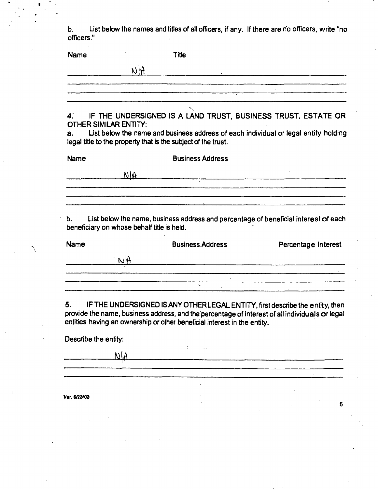**b. List below the names and titles of all officers, if any. If there are no officers, write "no officers."** 

| <b>Name</b>                                      | Title                                                                                                                                                |                     |
|--------------------------------------------------|------------------------------------------------------------------------------------------------------------------------------------------------------|---------------------|
|                                                  | $N$ A                                                                                                                                                |                     |
|                                                  |                                                                                                                                                      |                     |
| <b>OTHER SIMILAR ENTITY:</b>                     | 4. IF THE UNDERSIGNED IS A LAND TRUST, BUSINESS TRUST, ESTATE OR                                                                                     |                     |
| a.                                               | List below the name and business address of each individual or legal entity holding<br>legal title to the property that is the subject of the trust. |                     |
| Name                                             | <b>Business Address</b>                                                                                                                              |                     |
|                                                  | N R                                                                                                                                                  |                     |
|                                                  |                                                                                                                                                      |                     |
| b.<br>beneficiary on whose behalf title is held. | List below the name, business address and percentage of beneficial interest of each                                                                  |                     |
| Name                                             | <b>Business Address</b>                                                                                                                              | Percentage Interest |
| NA                                               | .<br>Martin 1999 – Martin Linda, amerikan pertama di Santa Martin Martin Martin Martin Martin Martin Martin Martin                                   |                     |
|                                                  |                                                                                                                                                      |                     |
|                                                  | $\sim$                                                                                                                                               |                     |

entities having an ownership or other beneficial interest in the entity.

**Describe the entity:** 

 $\Delta$  $\sim$   $\sim$  $\frac{1}{4}$ **—** 

6

**V«r. 6/23/03**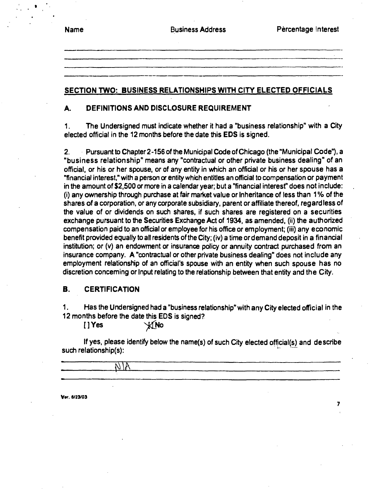|  | l٥<br>ſ |
|--|---------|
|--|---------|

 $\overline{\mathbf{z}}$ 

#### **SECTION TWO: BUSINESS RELATIONSHIPS WITH CITY ELECTED OFFICIALS**

#### **A. DEFINITIONS ANO DISCLOSURE REQUIREMENT**

1. The Undersigned must indicate whether it had a "business relationship" with a City elected official in the 12 months before the date this EDS is signed.

2. Pursuant to Chapter 2-156 of the Municipal Code of Chicago (the "Municipal Code"), a "business relationship" means any "contractual or other private business dealing" of an official, or his or her spouse, or of any entity in which an official or his or her spouse has a "financial interest," with a person or entity which entitles an official to compensation or payment in the amount of \$2,500 or more in a calendar year; but a "financial interest" does not include: (i) any ownership through purchase at fair market value or Inheritance of less than 1 % of the shares of a corporation, or any corporate subsidiary, parent or affiliate thereof, regardless of the value of or dividends on such shares, if such shares are registered on a securities exchange pursuant to the Securities Exchange Act of 1934, as amended, (ii) the authorized compensation paid to an official or employee for his office or employment; (iii) any economic benefit provided equally to all residents ofthe City; (iv) a time or demand deposit in a financial institution; or (v) an endowment or insurance policy or annuity contract purchased from an insurance company. A "contractual or other private business dealing" does not include any employment relationship of an official's spouse with an entity when such spouse has no discretion conceming or Input relating to the relationship between that entity and the City.

#### **B. CERTIFICATION**

1. Has the Undersigned had a "business relationship" with any City elected official in the 12 months before the date this EDS is signed?

 $[$   $]$   $\gamma$ es  $\gamma$   $\gamma$   $\gamma$   $\gamma$  or  $\gamma$ 

If yes, please identify below the name(s) of such City elected official(s) and describe such relationship(s): ^

**V»r. e/23/03**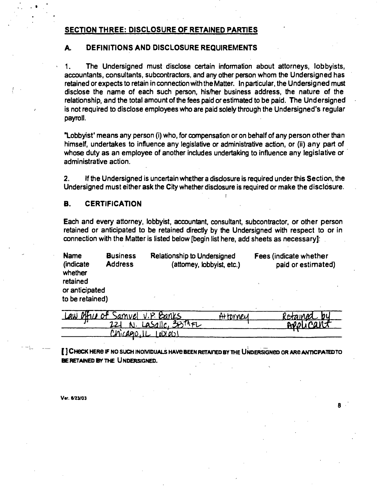#### **SECTION THREE: DISCLOSURE OF RETAINED PARTIES**

#### **A. DEFINITIONS AND DISCLOSURE REQUIREMENTS**

1. The Undersigned must disclose certain information about attorneys, lobbyists, accountants, consultants, subcontractors, and any other person whom the Undersigned has retained or expects to retain in connection with the Matter. In particular, the Undersigned must disclose the name of each such person, his/her business address, the nature of the relationship, and the total amount of the fees paid or estimated to be paid. The Undersigned is not required to disclose employees who are paid solely through the Undersigned's regular payroll.

"Lobbyist' means any person (i) who, for compensation or on behalf of any person other than himself, undertakes to influence any legislative or administrative action, or (ii) any part of whose duty as an employee of another includes undertaking to influence any legislative or administrative action.

2. If the Undersigned is uncertain whether a disclosure is required under this Section, the Undersigned must either ask the City whether disclosure is required or make the disclosure.

!

#### **B. CERTIFICATION**

Each and every attorney, lobbyist, accountant, consultant, subcontractor, or other person retained or anticipated to be retained directly by the Undersigned with respect to or in connection with the Matter is listed below [begin list here, add sheets as necessary]:

| <b>Name</b><br>(indicate<br>whether           | <b>Business</b><br><b>Address</b> | <b>Relationship to Undersigned</b><br>(attomey, lobbyist, etc.) | Fees (indicate whether<br>paid or estimated) |
|-----------------------------------------------|-----------------------------------|-----------------------------------------------------------------|----------------------------------------------|
| retained<br>or anticipated<br>to be retained) |                                   |                                                                 |                                              |

| Law Other of Samuel V.P. Banks    | Atthy WPLA | Retained by |
|-----------------------------------|------------|-------------|
| $\sim$ N. Lasalle, $3577$ FL      |            | APPLICANT   |
| $U \cap (A \cap C \cup C \cup C)$ |            |             |

[ ] CHECK HERE IF NO SUCH INOIVIDUALS HAVE BEEN RETAINED BY THE UNDERSIGNED OR ARE ANTICPATED TO BE RETAINED BY THE UNDERSIGNED.

*v«r. tratoi* 

R.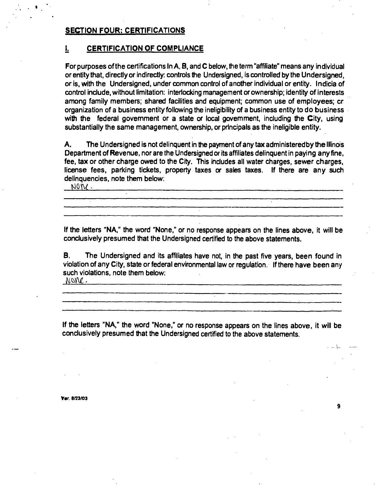#### **SECTION FOUR: CERTIFICATIONS**

#### **L CERTIFICATION OF COMPLIANCE**

**For purposes ofthe certifications In A. B, and C below, the term "affiliate" means any individual or entity that, directly or indirectly: controls the Undersigned, is controlled by the Undersigned,**  or is, with the Undersigned, under common control of another individual or entity. Indicia of **control include, without limitation: interiocking management or ownership; identity of interests among family members; shared facilities and equipment; common use of employees; cr**  organization of a business entity following the ineligibility of a business entity to do business with the federal government or a state or local government, including the City, using **substantially the same management, ownership, or principals as the ineligible entity.** 

A. The Undersigned is not delinquent in the payment of any tax administered by the Illinois **Department of Revenue, nor are the Undersigned or its affiliates delinquent in paying any fine, fee, tax or other charge owed to the City. This includes all water charges, sewer charges, license fees, paricing tickets, property taxes or sales taxes. If there are any such delinquencies, note them below:**<br>NOW

**If the letters "NA," the word "None," or no response appears on the lines above, it will be conclusively presumed that the Undersigned certified to the above statements.** 

**Francisco Control**<br> **example Secure Control**<br> **example Secure Contract Control**<br> **example Secure Contract Contract Contract Contract Contract Contract Contract Contract Contract Contract Contract Contract Contract Contrac** word "None," or no response appears on the lines above, it will<br>d that the Undersigned certified to the above statements.<br>ed and its affiliates have not, in the past five years, been found<br>ate or federal environmental law **B. The Undersigned and its affiliates have not, in the past five years, been found in violation ofany City, state or federal environmental law or regulation. If there have been any such violations, note them below:**<br>*NONC* 

**If the letters "NA," the word "None," or no response appears on the lines above, it will be conclusively presumed that the Undersigned certified to the above statements.** 

9

**Var. 8/23/03**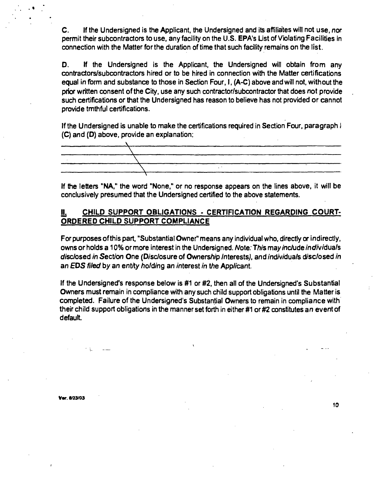C. If the Undersigned is the Applicant, the Undersigned and its affiliates will not use, nor permit their subcontractors to use, any facility on the U.S. EPA's List of Violating Facilities in connection with the Matter for the duration of time that such facility remains on the list.

D. If the Undersigned is the Applicant, the Undersigned will obtain from any contractors/subcontractors hired or to be hired in connection with the Matter certifications equal in form and substance to those in Section Four, I, (A-C) above and will not. without the prior written consent of the City, use any such contractor/subcontractor that does not provide such certifications or that the Undersigned has reason to believe has not provided or cannot provide tmthful certifications.

If the Undersigned is unable to make the certifications required in Section Four, paragraph I (C) and (D) above, provide an explanation:



If the letters "NA," the word "None," or no response appears on the lines above, it will be conclusively presumed that the Undersigned certified to the above statements.

#### **II. CHILD SUPPORT OBLIGATIONS - CERTIFICATION REGARDING COURT-ORDERED CHILD SUPPORT COMPLIANCE**

For purposes of this part, "Substantial Owner" means any individual who, directly or indirectly, owns or holds a 10% or more interest in the Undersigned. Note: This may include individuals disclosed in Section One (Disclosure of Ownership Interests), and individuals disclosed in an EDS filed by an entity holding an interest in the Applicant.

If the Undersigned's response below is #1 or #2, then all of the Undersigned's Substantial Owners must remain in compliance with any such child support obligations until the Matter is completed. Failure of the Undersigned's Substantial Owners to remain in compliance with their child support obligations in the manner set forth in either #1 or #2 constitutes an event of default.

**Vw. 6/23/03**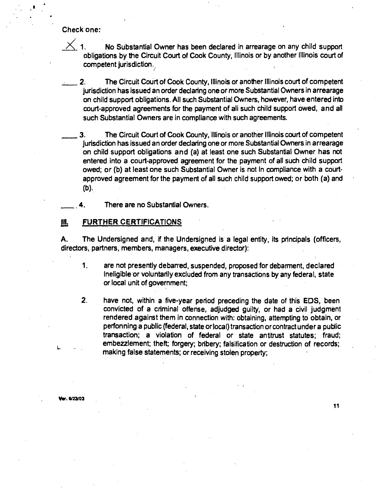**Check one:** 

 $\times$ 1. No Substantial Owner has been declared in arrearage on any child support obligations by the Circuit Court of Cook County, Illinois or by another Illinois court of competent jurisdiction.

- 2. The Circuit Court of Cook County, Illinois or another Illinois court of competent jurisdiction has issued an order declaring one or more Substantial Owners in arrearage on child support obligations. All such Substantial Owners, however, have entered into court-approved agreements for the payment of ali such child support owed, and all such Substantial Owners are in compliance with such agreements.
- 3. The Circuit Court of Cook County, Illinois or another Illinois court of competent jurisdiction has issued an order declaring one or more Substantial Owners in arrearage on child support obligations and (a) at least one such Substantial Owner has not entered into a court-approved agreement for the payment of all such child support owed; or (b) at least one such Substantial Owner is not In compliance with a courtapproved agreement for the payment of all such child support owed; or both (a) and (b).

There are no Substantial Owners.

#### **UL FURTHER CERTIFICATIONS**

A. The Undersigned and, if the Undersigned is a legal entity, its principals (officers, directors, partners, members, managers, executive director):

- 1. are not presently deban-ed, suspended, proposed for debarment, declared Ineligible or voluntarily excluded from any transactions by any federal, state or local unit of government;
- 2, have not, within a five-year period preceding the date of this EDS, been convicted of a criminal offense, adjudged guilty, or had a civil judgment rendered against them in connection with: obtaining, attempting to obtain, or perfonning a pubtic (federal, state or local) transaction or contract under a public transaction; a violation of federal or state antitrust statutes; fraud; embezzlement; theft; forgery; bribery; falsification or destruction of records; making false statements; or receiving stolen property;

r. **6/23/03**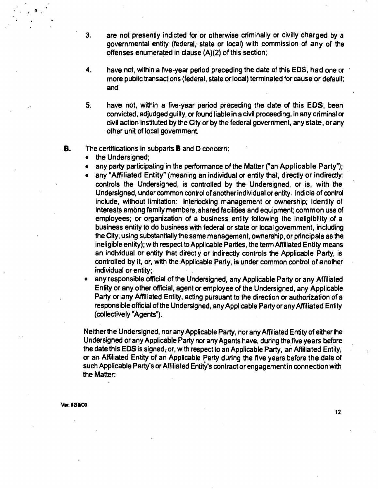- **3. are not presently indicted for or otherwise criminally or civilly charged by a governmental entity (federal, state or local) with commission of any of the offenses enumerated in clause (A)(2) of this section;**
- **4. have not, within a five-year period preceding the date of this EDS, had one or more pubiic transactions (federal, state or local) terminated for cause or default; and**
- **5. have not, within a five-year period preceding the date of this EDS, been convicted, adjudged guilty, or found liable in a civil proceeding, in any criminal or civil action instituted by the City or by the federal government, any state, or any other unit of local govemment.**

#### **B. The certifications in subparts B and D concern:**

- **the Undersigned;**
- **any party participating in the performance of the Matter ("an Applicable Party"};**
- any "Affiliated Entity" (meaning an individual or entity that, directly or indirectly: **controls the Undersigned, is controlled by the Undersigned, or is, with the Undersigned, under common control of another individual or entity. Indicia of control include, without limitation: interiocking management or ownership; identity of interests among family members, shared facilities and equipment; common use of employees; or organization of a business entity following the ineligibility of a business entity to do business with federal or state or local govemment, including the City, using substantially the same management, ownership, or principals as the ineligible entity); with respect to Applicable Parties, the term Affiliated Entity means**  an individual or entity that directly or Indirectly controls the Applicable Party, is **controlled by it. or, with the Applicable Party, is under common control of another individual or entity;**
- **any responsible official of the Undersigned, any Applicable Party or any Affiliated Entity or any other official, agent or employee of the Undersigned, any Applicable Party or any Affiliated Entity, acting pursuant to the direction or authorization of a responsible official of the Undersigned, any Applicable Party or any Affiliated Entity (collectively "Agents").**

Neither the Undersigned, nor any Applicable Party, nor any Affiliated Entity of either the **Undersigned or any Applicable Party nor any Agents have, during the five years before**  the date this EDS is signed<sub>r</sub>or, with respect to an Applicable Party, an Affiliated Entity, **or an Affiliated Entity of an Applicable Party during the five years before the date of such Applicable Party's or Affiliated Entity's contract or engagement in connection with the Matter:** 

*vm.tavoz*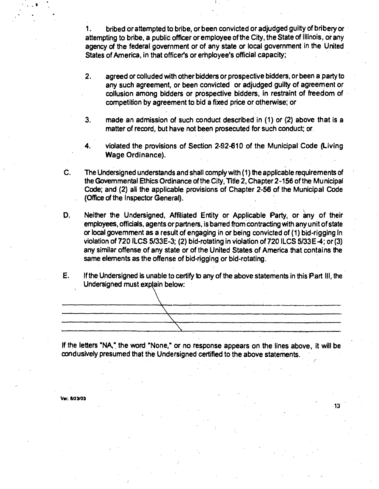**1. bribed or attempted to bribe, or been convicted or adjudged guilty of bribery or attempting to bribe, a public officer or employee ofthe City, the State of Illinois, or any agency of the federal government or of any state or local government in the United States of America, in that officer's or erinployee's official capacity;** 

- **2. agreed or colluded with other bidders or prospective bidders, or been a party to any such agreement, or been convicted or adjudged guilty of agreement or collusion among bidders or prospective bidders, in restraint of freedom of competition by agreement to bid a fixed price or otherwise; or**
- **3. made an admission of such conduct described in (1) or (2) above that is a**  matter of record, but have not been prosecuted for such conduct; or
- **4. violated the provisions of Section 2-92-610 of the Municipal Code (Living Wage Ordinance).**
- **C. The Undersigned understands and shall comply with (1) the applicable requirements of the Govemmental Ethics Ordinance of the City, Title 2, Chapter2-156 ofthe Municipal Code; and (2) ali the applicable provisions of Chapter 2-56 of the Municipal Code (Office of the Inspector General).**
- **D.** Neither the Undersigned, Affiliated Entity or Applicable Party, or any of their employees, officials, agents or partners, is barred from contracting with any unit of state **or local govemment as a result of engaging in or being convicted of (1) bid-rigging In violation of 720 ILCS 5/33E-3; (2) bid-rotating in violation of 720 ILCS 5/33E-4; or (3) any similar offense of any state or of the United States of America that contains the same elements as the offense of bid-rigging or bid-rotating.**
- **E. Ifthe Undersigned is unable to certify to any of the above statements in this Part III, the Undersigned must explain below:**



**If the letters "NA," the word "None," or no response appears on the lines above, it will be condusively presumed that the Undersigned certified to the above statements.** 

**13** 

**V«r. 6/23/03**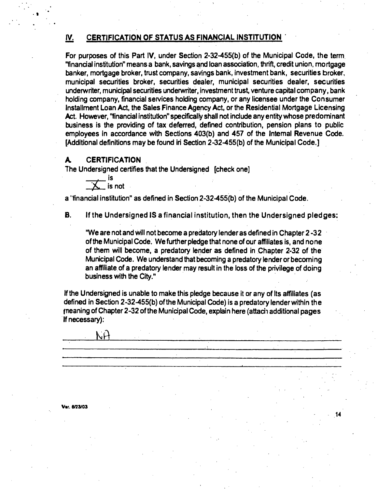# **IV. CERTIFICATION OF STATUS AS FINANCIAL INSTITUTION**

For purposes of this Part IV, under Section 2-32-455(b) of the Municipal Code, the term "financial institution" means a bank, savings and loan association, thrift, credit union, mortgage banker, mortgage broker, trust company, savings bank, investment bank, securities broker, municipal securities broker, securities dealer, municipal securities dealer, securities underwriter, municipal securities underwriter, investment trust, venture capital company, bank holding company, financial services holding company, or any licensee under the Consumer Installment Loan Act, the Sales Finance Agency Act, or the Residential Mortgage Licensing Act. However, "financial institution" specifically shall not include any entity whose predominant business is the providing of tax deferred, defined contribution, pension plans to public employees in accordance with Sections 403(b) and 457 of the Intemal Revenue Code. [Additional definitions may be found iri Section 2-32-455(b) of the Municipal Code.]

#### **A CERTIFICATION**

The Undersigned certifies that the Undersigned [check onej

is **is** not

NH

a "financial institution" as defined in Section 2-32-455(b) of the Municipal Code.

**B. If the Undersigned IS a financial institution, then the Undersigned pledges:** 

"We are not and will not become a predatory lender as defined in Chapter 2-32 ofthe Municipal Code. We further pledge that none of our affiliates is, and none of them will become, a predatory lerider as defined in Chapter 2-32 of the Municipal Code. We understand that becoming a predatory lender or becoming an affiliate of a predatory lender may result in the loss of the privilege of doing business with the City."

14

If the Undersigned is unable to make this pledge because it or any of Its affiliates (as defined in Section 2-32-455(b) ofthe Municipal Code) is a predatory lender within the frieaning of Chapter 2-32 of the Municipal Code, explain here (attacin additional pages If necessary):

Ver. 6/23/03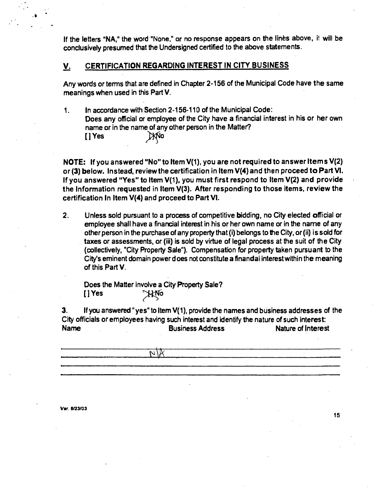If the letters "NA," the word "None," or no response appears on the lines above, it will be **conclusively presumed that the Undersigned certified to the above statements.** 

#### **y, CERTIFICATION REGARDING INTEREST IN CITY BUSINESS**

**Any words or temns that are defined in Chapter 2-156 of the Municipal Code have the same meanings when used in this Part V.** 

**1. In accordance with Section 2-156-110 ofthe Municipal Code: Does any official or employee of the City have a financial interest in his or her own name or in the name of any other person in the Matter? [JYes ^ 0** 

**NOTE: If you answered "No" to Item V(1), you are not required to answer Items V(2) or (3) below. Instead, review the certification in Item V(4) and then proceed to Part VI. If you answered "Yes" to Item V(1). you must first respond to Item V(2) and provide the Information requested in Item V(3). After responding to those items, review the certification In Item V(4) and proceed to Part VI.** 

**2. Unless sold pursuant to a process of competitive bidding, no City elected official or employee shall have a financial interest in his or her own name or in the name of any other person in the purchase ofany property that (i) belongs to the City, or (ii) is sold for taxes or assessments, or (iii) is sold by virtue of legal process at the suit of the City (collectively, "City Property Sale"). Compensation for property taken pursuant to the City's eminent domain power d oes not constitute a finandai interest within the meaning**  of this Part V.

**Does the Matter involve a City Property Sale? [JYes**  AFric

 $\overline{\mathcal{W}}$ 

**3. If you answered "yes" to Item V(1), provide the names and business addresses of the City officials or employees having such interest and identify the nature ofsuch interest: Name Business Address Nature of Interest** 

**Var. e/23/03**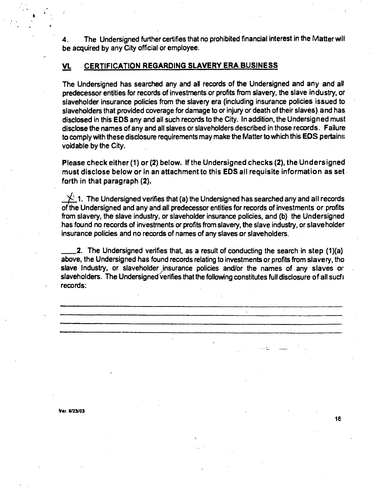**4. The Undersigned further certifies that no prohibited financial interest in the Matter will be acquired by any City official or employee.** 

#### **VL CERTIFICATION REGARDING SLAVERY ERA BUSINESS**

**The Undersigned has searched any and all records of the Undersigned and any and all' predecessor entities for records of investments or profits from slavery, the slave industry, or slaveholder insurance policies from the slavery era (including insurance policies issued to slaveholders that provided coverage for damage to or injury or death of their slaves) and has disclosed in this EDS any and all such records to the City. In addition, the Undersigned must disclose the names of any and all slaves or slaveholders described in those records. Failure to comply with these disclosure requirements may make the Matter to which this EOS pertain;: voidable by the City.** 

**Please check either (1) or (2) below. If the Undersigned checks (2), the Undersigned must disclose below or in an attachment to this EDS all requisite information as set forth in that paragraph (2).** 

**1.** The Undersigned verifies that (a) the Undersigned has searched any and all records **of the Undersigned and any and all predecessor entities for records of investments or profits from slavery, the slave industry, or slaveholder insurance policies, and (b) the Undersigned has found no records of investments or profits from slavery, the slave industry, or slaveholder insurance policies and no records of names of any slaves or slaveholders.** 

**2. The Undersigned verifies that, as a result of conducting the search in step (1)(a) above, the Undersigned has found records relating to investments or profits from slavery, tho**  slave Industry, or slaveholder insurance policies and/or the names of any slaves or **slaveholders. The Undersigned verifies that the following constitutes full disclosure of all sucfi records:** 

**16** 

**Var. e/23/03**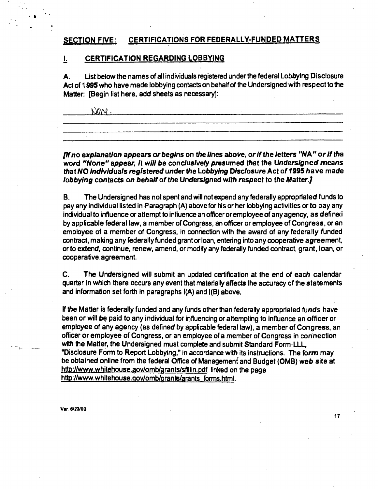# **SECTION FIVE: CERTIFICATIONS FOR FEDERALLY-FUNDED MATTERS**

#### **I, CERTIFICATION REGARDING LOBBYING**

**A. List below the names of all individuals registered under the federal Lobbying Disclosure Act of 1995 who have made lobbying contacts on behalf of the Undersigned with respect to the Matter: [Begin list here, add sheets as necessary]:** 

 $\frac{1}{2}$  :  $\frac{1}{2}$  :  $\frac{1}{2}$  :  $\frac{1}{2}$  :  $\frac{1}{2}$  :  $\frac{1}{2}$  :  $\frac{1}{2}$  :  $\frac{1}{2}$  :  $\frac{1}{2}$  :  $\frac{1}{2}$  :  $\frac{1}{2}$  :  $\frac{1}{2}$  :  $\frac{1}{2}$  :  $\frac{1}{2}$  :  $\frac{1}{2}$  :  $\frac{1}{2}$  :  $\frac{1}{2}$  :  $\frac{1}{2}$  :  $\frac{1}{$ 

If no explanation appears or begins on the lines above, or if the letters "NA" or if tha **word "None" appear, it will be conclusively presumed that the Undersigned means that NO individuals registered under the Lobbying Disclosure Act of 1995 have made lobbying contacts on behalf of the Undersigned with respect to the Matter.]** 

**B. The Undersigned has not spent and will not expend any federally appropriated funds to pay any individual listed in Paragraph (A) above for his or her lobbying activities or to pay any individual to influence or attempt to infiuence an officer or employee of any agency, as defineci by applicable federal law, a member of Congress, an officer or employee of Congress, or an**  employee of a member of Congress, in connection with the award of any federally funded **contract, making any federally funded grant or loan, entering into any cooperative agreement, or to extend, continue, renew, amend, or modify any federally funded contract, grant, loan, or cooperative agreement.** 

**C. The Undersigned will submit an updated certification at the end of each calendar quarter in which there occurs any event that materially affects the accuracy of the statements and information set forth in paragraphs 1(A) and 1(B) above.** 

If the Matter is federally funded and any funds other than federally appropriated funds have **been or will be paid to any individual for influencing or attempting to influence an officer or employee of any agency (as defined by applicable federal law), a member of Congress, an officer or employee of Congress, or an employee of a member of Congress in connection with the Matter, the Undersigned must complete and submit Standard Form-LLL, "Disclosure Fonn to Report Lobbying," in accordance with its instructions. The form may**  be obtained online from the federal Office of Management and Budget (OMB) web site at **http://www.whitehouse.aov/omb/arants/sflllin.pdf linked on the page**  http://www.whitehouse.gov/omb/orants/arants forms.html.

**Var. e/23/03**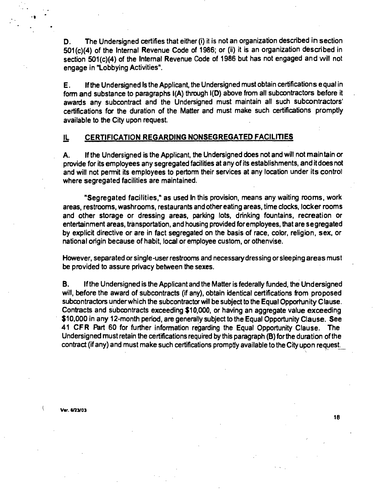**D. The Undersigned certifies that either (i) it is not an organization described in section 501(c)(4) of the Internal Revenue Code of 1986; or (ii) it is an organization described in section 501(c)(4) of the Internal Revenue Code of 1986 but has not engaged and will not engage in "Lobbying Activities".** 

**E. Ifthe Undersigned Is the Applicant, the Undersigned must obtain certifications equal in form and substance to paragraphs 1(A) through 1(D) above from all subcontractors before it awards any subcontract and the Undersigned must maintain all such subcontractors' certifications for the duration of the Matter and must make such certifications promptly available to the City upon request.** 

#### **IL CERTIFICATION REGARDING NONSEGREGATED FACILITIES**

**A. Ifthe Undersigned is the Applicant, the Undersigned does not and will not maintain or provide for its employees any segregated facilities at any of its establishments, and it does not**  and will not permit its employees to pertorm their services at any location under its control **where segregated facilities are maintained.** 

**"Segregated facilities," as used In this provision, means any waiting rooms, work areas, restrooms, washrooms, restaurants and other eating areas, time clocks, locker rooms and other storage or dressing areas, parking lots, drinking fountains, recreation or entertainment areas, transportation, and housing provided for employees, that are segregated by explicit directive or are in fact segregated on the basis of race, color, religion, sex, or national origin because of habit, local or employee custom, or othenvise.** 

**However, separated or single-user restrooms and necessary dressing or sleeping areas must be provided to assure privacy between the sexes.** 

**B. Ifthe Undersigned is the Applicant and the Matter is federally funded, the Undersigned will, before the award of subcontracts (if any), obtain identical certifications from proposed**  subcontractors under which the subcontractor will be subject to the Equal Opportunity Clause. **Contracts and subcontracts exceeding \$10,000, or having an aggregate value exceeding \$10,000 in any 12-month period, are generally subject to the Equal Opportunity Clause. See**  41 CFR Part 60 for further information regarding the Equal Opportunity Clause. The **Undersigned must retain the certifications required by this paragraph (B) for the duration of the**  contract (if any) and must make such certifications promptly available to the City upon request.

**Var. e/23/03**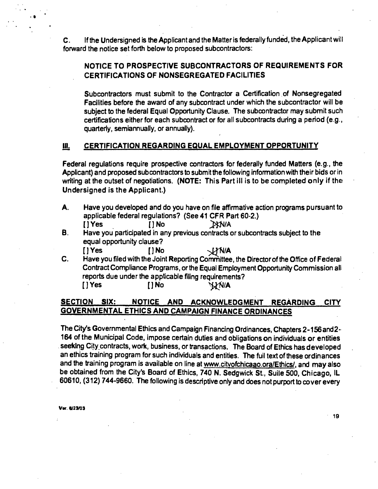**C. If the Undersigned is the Applicant and the Matter is federally funded, the Applicant will forward the notice set forth below to proposed subcontractors:** 

# **NOTICE TO PROSPECTIVE SUBCONTRACTORS OF REQUIREMENTS FOR CERTIFICATIONS OF NONSEGREGATED FACILITIES**

**Subcontractors must submit to the Contractor a Certification of Nonsegregated Facilities before the award of any subcontract under which the subcontractor will be subject to the federal Equal Opportunity Clause. The subcontractor may submit such certifications either for each subcontract or for all subcontracts during a period (e.g., quarterty, semiannually, or annually).** 

#### **III. CERTIFICATION REGARDING EQUAL EMPLOYMENT OPPORTUNITY**

**Federal regulations require prospective contractors for federally funded Matters (e.g., the Applicant) and proposed subcontractors to submit the following information with their bids or in**  writing at the outset of negotiations. (NOTE: This Part ill is to be completed only if the **Undersigned is the Applicant.)** 

- **A. Have you developed and do you have on file affirmative action programs pursuant to applicable federal regulations? (See 41 CFR Part 60-2.)** 
	- **[JYes [JNo >KN/A**
- **B. Have you participated in any previous contracts or subcontracts subject to the equal opportunity clause?**  *[JYes [JNo -^lA*
- **C. Have you filed with the Joint Reporting Committee, the Director ofthe Office of Federal Contract Compliance Programs, orthe Equal Employment Opportunity Commission ali reports due under the appticable filing requirements?**  *[JYes [JNo >^IA*

### **SECTION SIX: NOTICE AND ACKNOWLEDGMENT REGARDING CITY GOVERNMENTAL ETHICS AND CAMPAIGN FINANCE ORDINANCES**

**The City's Governmental Ethics and Campaign Financing Ordinances, Chapters 2-156and2-** 164 of the Municipal Code, impose certain duties and obligations on individuals or entities seeking City contracts, work, business, or transactions. The Board of Ethics has developed an ethics training program for such individuals and entities. The fuil text of these ordinances **and the training program is available on line at www.citvofchicaao.ora/Ethics/. and may also be obtained from the City's Board of Ethics, 740 N. Sedgwick St., Suile 500, Chicago. IL 60610, (312) 744-9660. The following is descriptive only and does not purport to cover every** 

*Var. 9123103*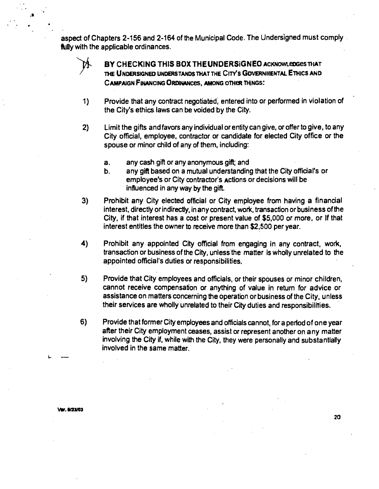**aspect of Chapters 2-156 and 2-164 of the Municipal Code. The Undersigned must comply fully with the applicable ordinances.** 

**BY CHECKING THIS BOX THEUNDERSIGNEO** ACKNOWLEDGES THAT **TME UNDERSIGNEO UNDERSTANDS THAT THE CITY'S GOVERNMENTAL ETHICS AND CAMPAIGN FINANCING ORDINANCES, AMONG OTHER THINGS:** 

- **1) Provide that any contract negotiated, entered into or performed in violation of the City's ethics laws can be voided by the City.**
- **2) Limit the gifts and favors any individual or entity can give, or offer to give, to any City official, employee, contractor or candidate for elected City office or the spouse or minor child of any of them, including:** 
	- **a. any cash gift or any anonymous gift; and**
	- **b. any gift based on a mutual understanding that the City official's or employee's or City contractor's actions or decisions will be influenced in any way by the gift.**
- **3) Prohibit any City elected official or City employee from having a financial**  interest, directly or indirectly, in any contract, work, transaction or business of the **City, if that interest has a cost or present value of \$5,000 or more, or If that interest entitles the owner to receive more than \$2,500 per year.**
- **4) Prohibit any appointed City official from engaging in any contract, work, transaction or business of the City, unless the matter is wholly unrelated to the appointed official's duties or responsibilities.**
- **5) Provide that City employees and officials, or their spouses or minor children, cannot receive compensation or anything of value in return for advice or assistance on matters concerning the operation or business of the City, unless their services are wholly unrelated to their City duties and responsibilities.**
- **6) Provide that former City employees and officials cannot, for a period of one year after their City employment ceases, assist or represent another on any matter involving the City if, while with the City, they were personally and substantially involved in the same matter.**

**var. Ml/OS**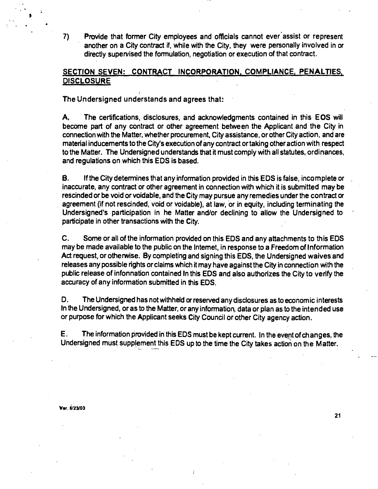**7) Provide that former City employees and officials cannot ever assist or represent another on a City contract if, while with the City, they were personally involved in or**  directly supen/ised the formulation, negotiation or execution of that contract.

### **SECTION SEVEN: CONTRACT INCORPORATION. COMPLIANCE. PENALTIES. DISCLOSURE**

**The Undersigned understands and agrees that:** 

A. The certifications, disclosures, and acknowledgments contained in this EOS will **become part of any contract or other agreement between the Applicant and the City in connection with the Matter, whether procurement. City assistance, or other City action, and are material inducements to the City's execution of any contract or taking other action with respect to the Matter. The Undersigned understands that it must comply with all statutes, ordinances, and regulations on which this EDS is based.** 

**B. Ifthe City detemiines that any information provided in this EDS is false, incomplete or inaccurate, any contract or other agreement in connection with which it is submitted may be rescinded or be void or voidable, and the City may pursue any remedies under the contract or agreement (if not rescinded, void or voidable), at law, or in equity, including terminating the Undersigned's participation in he Matter and/or declining to allow the Undersigned to participate in other transactions with the City.** 

**C. Some or all ofthe information provided on this EDS and any attachments to this EDS may be made available to the public on the Intemet, in response to a Freedom of Information Act request, or othenwise. By completing and signing this EDS, the Undersigned waives and releases any possible rights or claims which it may have against the City in connection with the public release of infonnation contained In this EDS and also authorizes the City to verify the accuracy of any information submitted in this EDS.** 

**D. The Undersigned has not withheld or reserved any disclosures as to economic interests In the Undersigned, or as to the Matter, or any information, data or plan as to the intended use or purpose for which the Applicant seeks City Council or other City agency action.** 

**E. The information provided in this EDS must be kept current. In the event of changes, the Undersigned must supplement this EDS up to the time the City takes action on the Matter.** 

**Var. 6/23/03**